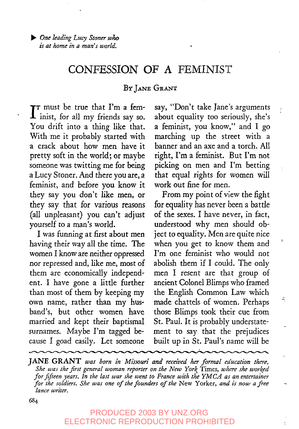# CONFESSION OF A FEMINIST

#### BY JANE GRANT

 $\mathbf{I}$ <sup>T</sup> must be true that I'm a fem-<br> $\mathbf{I}$  inist, for all my friends say so. 1 inist, for all my friends say so. You drift into a thing like that. With me it probably started with a crack about how men have it pretty soft in the world; or maybe someone was twitting me for being a Lucy Stoner. And there you are, a feminist, and before you know it they say you don't like men, or they say that for various reasons (all unpleasant) you can't adjust yourself to a man's world.

I was funning at first about men having their way all the time. The women I know are neither oppressed nor repressed and, like me, most of them are economically independent. I have gone a little further than most of them by keeping my own name, rather than my husband's, but other women have married and kept their baptismal surnames. Maybe I'm tagged because I goad easily. Let someone say, "Don't take Jane's arguments about equality too seriously, she's a feminist, you know," and I go marching up the street with a banner and an axe and a torch. All right, I'm a feminist. But I'm not picking on men and I'm betting that equal rights for women will work out fine for men..

É

c

From my point of view the fight for equality has never been a battle of the sexes. I have never, in fact, understood why men should object to equality. Men are quite nice when you get to know them and I'm one feminist who would not abolish them if I could. The only men I resent are that group of ancient Colonel Blimps who framed the English Common Law which made chattels of women. Perhaps those Blimps took their cue from St. Paul. It is probably understatement to say that the prejudices built up in St. Paul's name will be

JANE GRANT was born in Missouri and received her formal education there. *She was the first general woman reporter on the New York* Times, *where she worked for fifteen years. In the last war she went to France with the YMCA as an entertainer for the soldiers. She was one of the founders of the* New Yorker, *and is now a jgee lance writer.*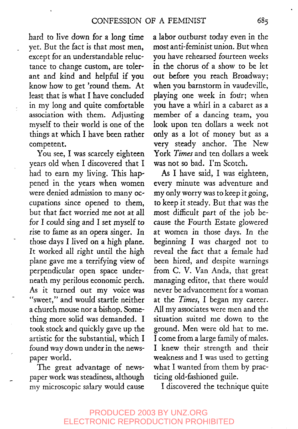hard to live down for a long time yet. But the fact is that most men, except for an understandable reluctance to change custom, are tolerant and kind and helpful if you know how to get 'round them. At least that is what I have concluded in my long and quite comfortable association with them. Adjusting myself to their world is one of the things at which I have been rather competent.

You see, I was scarcely eighteen years old when I discovered that I had to earn my living. This happened in the years when women were denied admission to many occupations since opened to them, but that fact worried me not at all for I could sing and I set myself to rise to fame as an opera singer. In those days I lived on a high plane. It worked all right until the high plane gave me a terrifying view of perpendicular open space underneath my perilous economic perch. As it turned out my voice was "sweet," and would startle neither a church mouse nor a bishop. Something more solid was demanded. I took stock and quickly gave up the artistic for the substantial, which I found way down under in the newspaper world.

The great advantage of newspaper work was steadiness, although my microscopic salary would cause a labor outburst today even in the most anti-feminist union. But when you have rehearsed fourteen weeks in the chorus of a show to be let out before you reach Broadway; when you barnstorm in vaudeville, playing one week in four; when you have a whirl in a cabaret as a member of a dancing team, you look upon ten dollars a week not only as a lot of money but as a very steady anchor. The New York *Times* and ten dollars a week was not so bad. I'm Scotch.

As I have said, I was eighteen, every minute was adventure and my only worry was to keep it going, to keep it steady. But that was the most difficult part of the job because the Fourth Estate glowered at women in those days. In the beginning I was charged not to reveal the fact that a female had been hired, and despite warnings from C. V. Van Anda, that great managing editor, that there would never be advancement for a woman at the *Times,* I began my career. All my associates were men and the situation suited me down to the ground. Men were old hat to me. I come from a large family of males. I knew their strength and their weakness and I was used to getting what I wanted from them by practicing old-fashioned guile.

I discovered the technique quite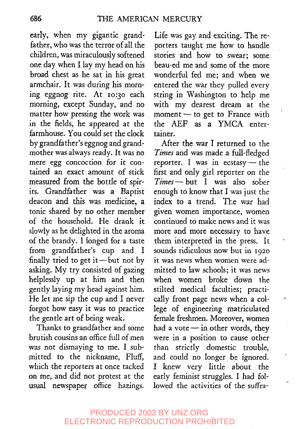early, when my gigantic grandfather, who was the terror of all the children, was miraculously softened one day when I lay my head on his broad chest as he sat in his great armchair. It was during his morning eggnog rite. At 10:30 each morning, except Sunday, and no matter how pressing the work was in the fields, he appeared at the farmhouse. You could set the clock by grandfather's *eggnog* and grandmother was always ready. It was no mere *egg* concoction for it contained an exact amount of stick measured from the bottle of spirits. Grandfather was a Baptist deacon and this was medicine, a tonic shared by no other member of the household. He drank it slowly as he delighted in the aroma of the brandy. I longed for a taste from grandfather's cup and I finally tried to get it-but not by asking. My try consisted of gazing helplessly up at him and then gently laying my head against him. He let me sip the cup and I never forgot how easy it was to practice the gentle art of being weak.

Thanks to grandfather and some brutish cousins an office full of men was not dismaying to me. I submitted to the nickname, Fluff, which the reporters at once tacked on me, and *did* not protest at the usual newspaper office hazings.

Life was gay and exciting. The reporters taught me how to handle stories and how to swear; some beau-ed me and some of the more wonderful fed me; and when we entered the war they pulled every string in Washington to help me with my dearest dream at the moment $-$  to get to France with the AEF as a YMCA entertainer.

After the war I returned to the *Times* and was made a full-fledged reporter. I was in ecstasy  $-$  the first and only girl reporter on the *Times--but* I was also sober enough to know that I was just the index to a trend. The war had given women importance, women continued to make news and it was more and more necessary to have them interpreted in the press. It sounds ridiculous now but in 1920 it was news when women were admitted to law schools; it was news when women broke down the stilted medical faculties; practically front page news when a college of engineering matriculated female freshmen. Moreover, women had a vote  $-$  in other words, they were in a position to cause other than strictly domestic trouble, and could no longer be ignored. I knew very little about the early feminist struggles. I had followed the activities of the suffra-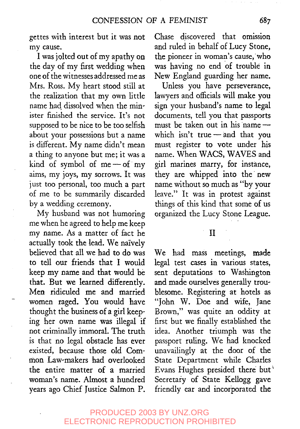gettes with interest but it was not my cause.

I was jolted out of my apathy on the day of my first wedding when one of the witnesses addressed me as Mrs. Ross. My heart stood still at the realization that my own little name had dissolved when the minister finished the service. It's not supposed to be nice to be too selfish about your possessions but a name is different. My name didn't mean a thing to anyone but me; it was a kind of symbol of me $-$ of my aims, my joys, my sorrows. It was just too personal, too much a part of me to be summarily discarded by a wedding ceremony.

My husband was not humoring me when he agreed to help me keep my name. As a matter of fact he actually took the lead. We naively believed that all we had to do was to tell our friends that I would keep my name and that would be that. But we learned differently. Men ridiculed me and married women raged. You would have thought the business of a girl keeping her own name was illegal if not criminally immoral. The truth is that no legal obstacle has ever existed, because those old Common Law-makers had overlooked the entire matter of a married woman's name. Almost a hundred years ago Chief Justice Salmon P.

Chase discovered that omission and ruled in behalf of Lucy Stone, the pioneer in woman's cause, who was having no end of trouble in New England guarding her name.

Unless you have perseverance, lawyers and officials will make you sign your husband's name to legal documents, tell you that passports must be taken out in his name which isn't true $-$  and that you must register to vote under his name. When WACS, WAVES and girl marines marry, for instance, they are whipped into the new name without so much as "by your leave." It was in protest against things of this kind that some of us organized the Lucy Stone League.

II

We had mass meetings, made legal test cases in various states, sent deputations to Washington and made ourselves generally troublesome. Registering at hotels as "John W. Doe and wife, Jane Brown," was quite an oddity at first but we finally established the idea. Another triumph was the passport ruling. We had knocked unavailingly at the door of the State Department while Charles Evans Hughes presided there but Secretary of State Kellogg gave friendly ear and incorporated the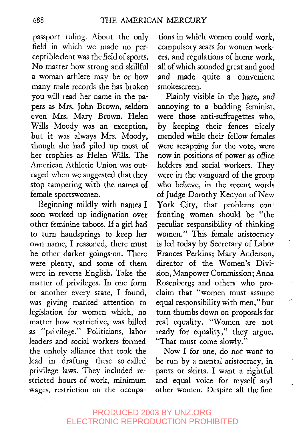passport ruling. About the only field in which we made no perceptible dent was the field of sports. No matter how strong and skillful a woman athlete may be or how many male records she has broken you will read her name in the papers as Mrs. John Brown, seldom even Mrs. Mary Brown. Helen Wills Moody was an exception, but it was always Mrs. Moody, though she had piled up most of her trophies as Helen Wills. The American Athletic Union was outraged when we suggested that they stop tampering with the names of female sportswomen.

*Beginning* mildly with names I soon worked up indignation over other feminine taboos. If a girl had to turn handsprings to keep her own name, I reasoned, there must be other darker goings-on. There were plenty, and some of them were in reverse English. Take the matter of privileges. In one form or another every state, I found, was giving marked attention to legislation for women which, no matter how restrictive, was billed as "privilege." Politicians, labor leaders and social workers formed the unholy alliance that took the lead in drafting these so-called privilege laws. They included restricted hours of work, minimum wages, restriction on the occupations in which women could work, compulsory seats for women workers, and regulations of home work, all of which sounded great and good and made quite a convenient smokescreen.

Plainly visible in the haze, and annoying to a budding feminist, were those anti-suffragettes who, by keeping their fences nicely mended while their fellow females were scrapping for the vote, were now in positions of power as office holders and social workers. They were in the vanguard of the group who believe, in the recent words of Judge Dorothy Kenyon of New York City, that problems confronting women should be "the peculiar responsibility of thinking women." This female aristocracy is led today by Secretary of Labor Frances Perkins; Mary Anderson, director of the Women's Division, Manpower Commission; Anna Rosenberg; and others who proclaim that "women must assume equal responsibility with men," but turn thumbs down on proposals for real equality. "Women are not ready for equality," they argue. "That must come slowly."

Now I for one, do not want to be run by a mental aristocracy, in pants or skirts. I want a rightful and equal voice for myself and other women. Despite all the fine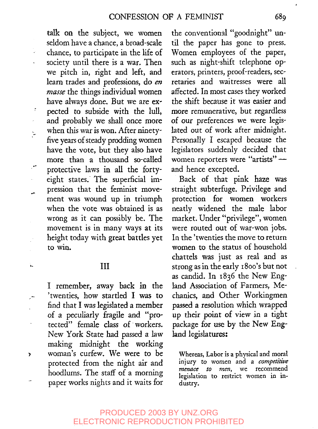talk on the subject, we women seldom have a chance, a broad-scale chance, to participate in the life of society until there is a war. Then we pitch in, fight and left, and learn trades and professions, do en *masse* the things individual women have always done. But we are exŗ pected to subside with the lull, and probably we shall once more when this war is won. After ninetyþ, five years of steady prodding women have the vote, but they also have more than a thousand so-called protective laws in all the fortyeight states. The superficial impression that the feminist movement was wound up in triumph when the vote was obtained is as wrong as it can possibly be. The movement is in many ways at its height today with great battles yet to win.

### III

ĥ.

 $\mathbf{r}$ 

I remember, away back in the 'twenties, how startled I was to find that I was legislated a member of a peculiarly fragile and "protected" female class of workers. New York State had passed a law making midnight the working woman's curfew. We were to be protected from the night air and hoodlums. The staff of a morning paper works nights and it waits for

the conventional "goodnight" until the paper has gone to press. Women employees of the paper, such as night-shift telephone operators, printers, proof-readers, secretaries and waitresses were all affected. In most cases they worked the shift because it was easier and more remunerative, but regardless of our preferences we were legislated out of work after midnight. Personally I escaped because the legislators suddenly decided that women reporters were "artists" and hence excepted.

Back of that pink haze was straight subterfuge. Privilege and protection for women workers neatly widened the male labor market. Under "privilege", women were routed out of war-won jobs. In the 'twenties the move to return women to the status of household chattels was just as real and as strong as in the early 1800's but not as candid. In 1836 the New England Association of Farmers, Mechanics, and Other Workingmen passed a resolution which wrapped up their point of view in a tight package for use by the New England legislatures:

Whereas, Labor is a physical and moral injury to *women* and a *competitive menace to* men, we recommend legislation to restrict women in industry.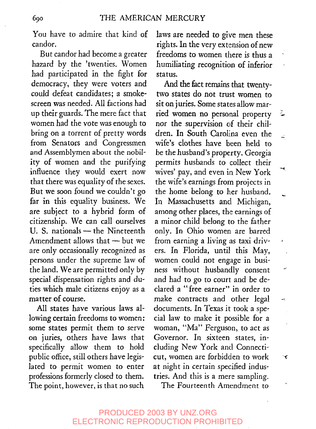You have to admire that kind of candor.

But candor had become a greater hazard by the 'twenties. Women had participated in the fight for democracy, they were voters and could defeat candidates; a smokescreen was needed. All factions had up their guards. The mere fact that women had the vote was enough to bring on a torrent of pretty words from Senators and Congressmen and Assemblymen about the nobility of women and the purifying influence they would exert now that there was equality of the sexes. But we soon found we couldn't go far in this equality business. We are subject to a hybrid form of citizenship. We can call ourselves U. S. nationals - the Nineteenth Amendment allows that  $-$  but we are only occasionally recognized as persons under the supreme law of the land. We are permitted only by special dispensation rights and duties which male citizens enjoy as a matter of course.

All states have various laws allowing certain freedoms to women: some states permit them to serve on juries, others have laws that specifically allow them to hold public office, still others have legislated to permit women to enter professions formerly closed to them. The point, however, is that no such laws are needed to give men these rights. In the very extension of new freedoms to women there is thus a humiliating recognition of inferior status.

And the fact remains that twentytwo states do not trust women to sit on juries. Some states allow married women no personal property ۷ nor the supervision of their children. In South Carolina even the Z wife's clothes have been held to be the husband's property. Georgia permits husbands to collect their wives' pay, and even in New York the wife's earnings from projects in the home belong to her husband. In Massachusetts and Michigan, among other places, the earnings of a minor child belong to the father only. In Ohio women, are barred from earning a living as taxi driv- $\bullet$ ers. In Florida, until this May, women could not engage in business without husbandly consent and had to go to court and be declared a "free earner" in order to make contracts and other legal  $\rightarrow$ documents. In Texas it took a special law to make it possible for a woman, "Ma" Ferguson, to act as Governor. In sixteen states, including New York and Connecticut, women are forbidden to work  $\mathbf{\hat{c}}$ at night in certain specified industries. And this is a mere sampling.

ب

The Fourteenth Amendment to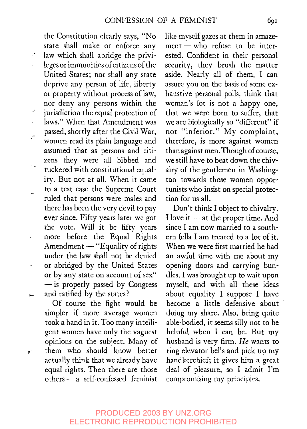the Constitution clearly says, "No state shall make or enforce any law which shall abridge the privi-÷. leges or immunities of citizens of the United States; nor shall any state deprive any person of life, liberty or property without process of law, nor deny any persons within the jurisdiction the equal protection of z, laws." When that Amendment was passed, shortly after the Civil War, women read its plain language and assumed that as persons and citizens they were all bibbed and tuckered with constitutional equality. But not at all. When it came to a test case the Supreme Court ruled that persons were males and there has been the very devil to pay ever since. Fifty years later we got the vote. Will it be fifty years more before the Equal Rights Amendment  $-$  "Equality of rights under the law shall not be denied or abridged by the United States i. or by any state on account of sex"  $-\mathrm{is}$  properly passed by Congress and ratified by the states?  $\vdash$ 

í,

 $\mathbf{r}$ 

Of course the fight would be simpler if more average women took a hand in it. Too many intelligent women have only the vaguest opinions on the subiect. Many of them who should know better actually think that we already have equal rights. Then there are those others-a self-confessed feminist like myself gazes at them in amazement-who refuse to be interested. Confident in their personal security, they brush the matter aside. Nearly all of them, I can assure you on the basis of some exhaustive personal polls, think that woman's lot is not a happy one, that we were born to suffer, that we are biologically so "different" if not "inferior." My complaint, therefore, is more against women than against men. Though of course, we still have to beat down the chivalry of the gentlemen in Washington towards those women opportunists who insist on special protection for us all.

Don't think I object to chivalry. I love it  $-$  at the proper time. And since I am now married to a southern fella I am treated to a lot of it. When we were first married he had an awful time with me about my opening doors and carrying bundles. I was brought up to wait upon myself, and with all these ideas about equality I suppose I have become a little defensive about doing my share. Also, being quite able-bodied, it seems silly not to be helpful when I can be. But my husband is very firm. *He* wants to ring elevator bells and pick up my handkerchief; it gives him a great deal of pleasure, so I admit I'm compromising my principles.